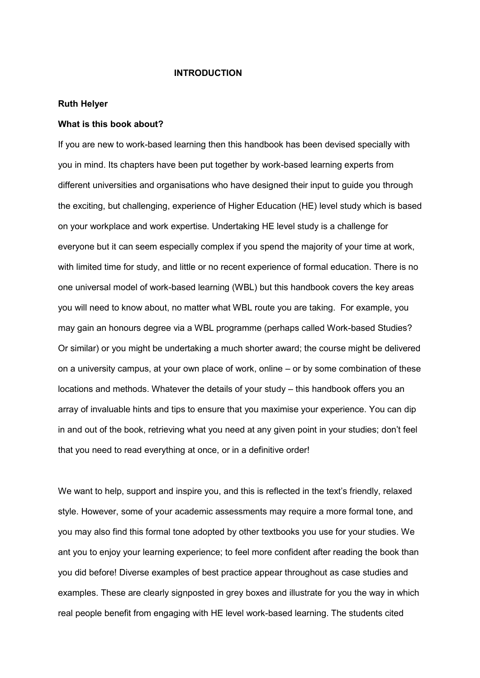#### **INTRODUCTION**

#### **Ruth Helyer**

#### **What is this book about?**

If you are new to work-based learning then this handbook has been devised specially with you in mind. Its chapters have been put together by work-based learning experts from different universities and organisations who have designed their input to guide you through the exciting, but challenging, experience of Higher Education (HE) level study which is based on your workplace and work expertise. Undertaking HE level study is a challenge for everyone but it can seem especially complex if you spend the majority of your time at work, with limited time for study, and little or no recent experience of formal education. There is no one universal model of work-based learning (WBL) but this handbook covers the key areas you will need to know about, no matter what WBL route you are taking. For example, you may gain an honours degree via a WBL programme (perhaps called Work-based Studies? Or similar) or you might be undertaking a much shorter award; the course might be delivered on a university campus, at your own place of work, online – or by some combination of these locations and methods. Whatever the details of your study – this handbook offers you an array of invaluable hints and tips to ensure that you maximise your experience. You can dip in and out of the book, retrieving what you need at any given point in your studies; don't feel that you need to read everything at once, or in a definitive order!

We want to help, support and inspire you, and this is reflected in the text's friendly, relaxed style. However, some of your academic assessments may require a more formal tone, and you may also find this formal tone adopted by other textbooks you use for your studies. We ant you to enjoy your learning experience; to feel more confident after reading the book than you did before! Diverse examples of best practice appear throughout as case studies and examples. These are clearly signposted in grey boxes and illustrate for you the way in which real people benefit from engaging with HE level work-based learning. The students cited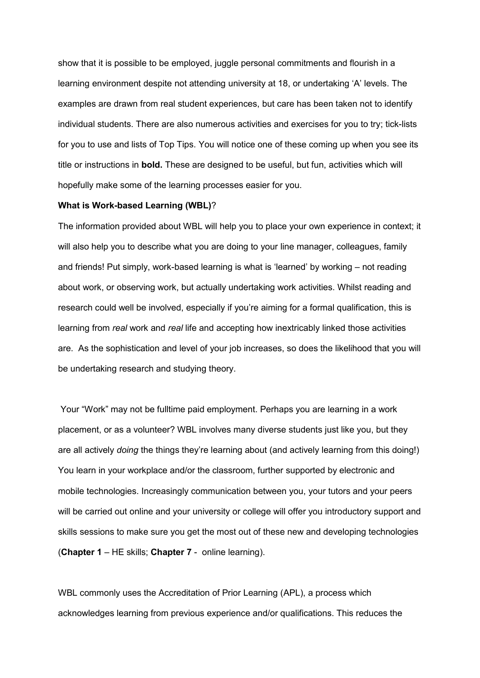show that it is possible to be employed, juggle personal commitments and flourish in a learning environment despite not attending university at 18, or undertaking "A" levels. The examples are drawn from real student experiences, but care has been taken not to identify individual students. There are also numerous activities and exercises for you to try; tick-lists for you to use and lists of Top Tips. You will notice one of these coming up when you see its title or instructions in **bold.** These are designed to be useful, but fun, activities which will hopefully make some of the learning processes easier for you.

#### **What is Work-based Learning (WBL)**?

The information provided about WBL will help you to place your own experience in context; it will also help you to describe what you are doing to your line manager, colleagues, family and friends! Put simply, work-based learning is what is "learned" by working – not reading about work, or observing work, but actually undertaking work activities. Whilst reading and research could well be involved, especially if you"re aiming for a formal qualification, this is learning from *real* work and *real* life and accepting how inextricably linked those activities are. As the sophistication and level of your job increases, so does the likelihood that you will be undertaking research and studying theory.

Your "Work" may not be fulltime paid employment. Perhaps you are learning in a work placement, or as a volunteer? WBL involves many diverse students just like you, but they are all actively *doing* the things they"re learning about (and actively learning from this doing!) You learn in your workplace and/or the classroom, further supported by electronic and mobile technologies. Increasingly communication between you, your tutors and your peers will be carried out online and your university or college will offer you introductory support and skills sessions to make sure you get the most out of these new and developing technologies (**Chapter 1** – HE skills; **Chapter 7** - online learning).

WBL commonly uses the Accreditation of Prior Learning (APL), a process which acknowledges learning from previous experience and/or qualifications. This reduces the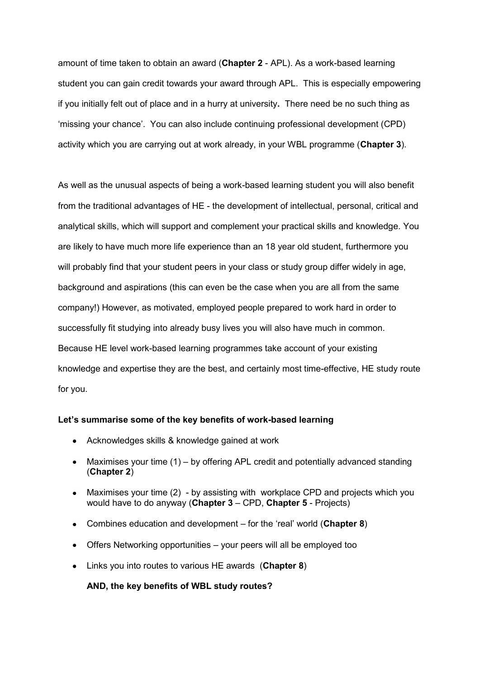amount of time taken to obtain an award (**Chapter 2** - APL). As a work-based learning student you can gain credit towards your award through APL. This is especially empowering if you initially felt out of place and in a hurry at university**.** There need be no such thing as "missing your chance". You can also include continuing professional development (CPD) activity which you are carrying out at work already, in your WBL programme (**Chapter 3**).

As well as the unusual aspects of being a work-based learning student you will also benefit from the traditional advantages of HE - the development of intellectual, personal, critical and analytical skills, which will support and complement your practical skills and knowledge. You are likely to have much more life experience than an 18 year old student, furthermore you will probably find that your student peers in your class or study group differ widely in age, background and aspirations (this can even be the case when you are all from the same company!) However, as motivated, employed people prepared to work hard in order to successfully fit studying into already busy lives you will also have much in common. Because HE level work-based learning programmes take account of your existing knowledge and expertise they are the best, and certainly most time-effective, HE study route for you.

# **Let's summarise some of the key benefits of work-based learning**

- Acknowledges skills & knowledge gained at work
- Maximises your time (1) by offering APL credit and potentially advanced standing (**Chapter 2**)
- $\bullet$ Maximises your time (2) - by assisting with workplace CPD and projects which you would have to do anyway (**Chapter 3** – CPD, **Chapter 5** - Projects)
- Combines education and development for the "real" world (**Chapter 8**)
- Offers Networking opportunities your peers will all be employed too  $\bullet$
- Links you into routes to various HE awards (**Chapter 8**)

## **AND, the key benefits of WBL study routes?**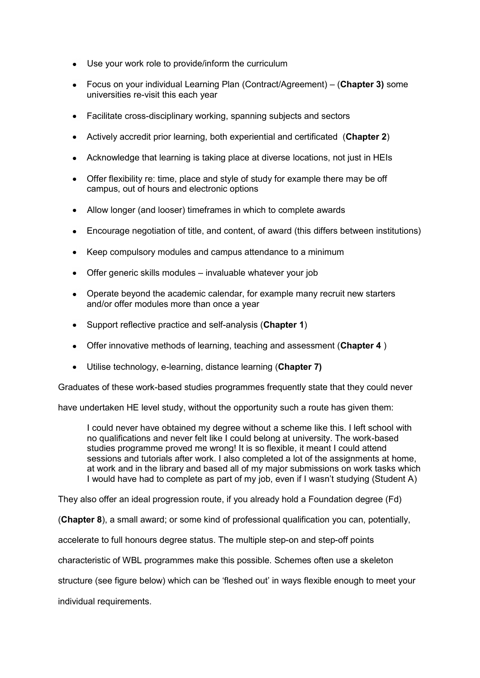- Use your work role to provide/inform the curriculum
- Focus on your individual Learning Plan (Contract/Agreement) (**Chapter 3)** some universities re-visit this each year
- Facilitate cross-disciplinary working, spanning subjects and sectors
- Actively accredit prior learning, both experiential and certificated (**Chapter 2**)
- Acknowledge that learning is taking place at diverse locations, not just in HEIs
- Offer flexibility re: time, place and style of study for example there may be off campus, out of hours and electronic options
- Allow longer (and looser) timeframes in which to complete awards
- Encourage negotiation of title, and content, of award (this differs between institutions)  $\bullet$
- Keep compulsory modules and campus attendance to a minimum
- Offer generic skills modules invaluable whatever your job
- Operate beyond the academic calendar, for example many recruit new starters and/or offer modules more than once a year
- Support reflective practice and self-analysis (**Chapter 1**)
- Offer innovative methods of learning, teaching and assessment (**Chapter 4** )
- Utilise technology, e-learning, distance learning (**Chapter 7)**

Graduates of these work-based studies programmes frequently state that they could never

have undertaken HE level study, without the opportunity such a route has given them:

I could never have obtained my degree without a scheme like this. I left school with no qualifications and never felt like I could belong at university. The work-based studies programme proved me wrong! It is so flexible, it meant I could attend sessions and tutorials after work. I also completed a lot of the assignments at home, at work and in the library and based all of my major submissions on work tasks which I would have had to complete as part of my job, even if I wasn"t studying (Student A)

They also offer an ideal progression route, if you already hold a Foundation degree (Fd)

(**Chapter 8**), a small award; or some kind of professional qualification you can, potentially,

accelerate to full honours degree status. The multiple step-on and step-off points

characteristic of WBL programmes make this possible. Schemes often use a skeleton

structure (see figure below) which can be "fleshed out" in ways flexible enough to meet your

individual requirements.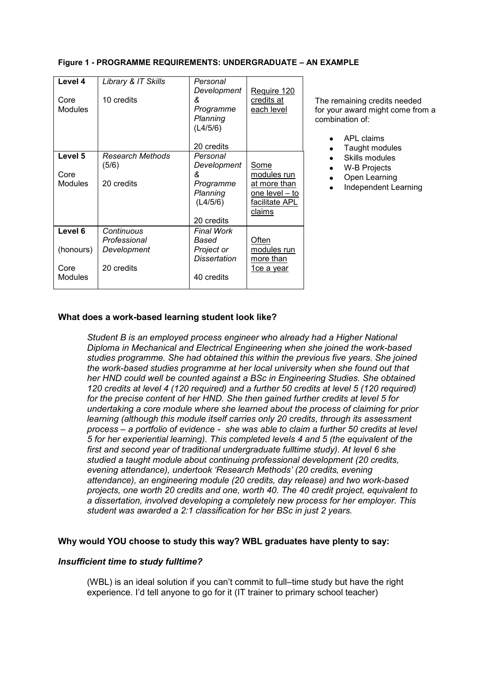| Level 4<br>Core<br><b>Modules</b> | Library & IT Skills<br>10 credits | Personal<br>Development<br>&<br>Programme<br>Planning<br>(L4/5/6) | Require 120<br>credits at<br>each level                    |
|-----------------------------------|-----------------------------------|-------------------------------------------------------------------|------------------------------------------------------------|
|                                   |                                   | 20 credits                                                        |                                                            |
| Level 5                           | Research Methods<br>(5/6)         | Personal<br>Development                                           | Some                                                       |
| Core                              |                                   | &                                                                 | modules run                                                |
| Modules                           | 20 credits                        | Programme<br>Planning<br>(L4/5/6)                                 | at more than<br>one level – to<br>facilitate APL<br>claims |
|                                   |                                   | 20 credits                                                        |                                                            |
| Level 6                           | Continuous<br>Professional        | Final Work<br>Based                                               | Often                                                      |
| (honours)                         | Development                       | Project or<br>Dissertation                                        | modules run<br>more than                                   |
| Core<br>Modules                   | 20 credits                        | 40 credits                                                        | <u>1ce a year</u>                                          |

# **Figure 1 - PROGRAMME REQUIREMENTS: UNDERGRADUATE – AN EXAMPLE**

The remaining credits needed for your award might come from a combination of:

- APL claims
- Taught modules  $\bullet$
- Skills modules
- W-B Projects  $\bullet$
- $\bullet$ Open Learning
- Independent Learning

# **What does a work-based learning student look like?**

*Student B is an employed process engineer who already had a Higher National Diploma in Mechanical and Electrical Engineering when she joined the work-based studies programme. She had obtained this within the previous five years. She joined the work-based studies programme at her local university when she found out that her HND could well be counted against a BSc in Engineering Studies. She obtained 120 credits at level 4 (120 required) and a further 50 credits at level 5 (120 required) for the precise content of her HND. She then gained further credits at level 5 for undertaking a core module where she learned about the process of claiming for prior learning (although this module itself carries only 20 credits, through its assessment process – a portfolio of evidence - she was able to claim a further 50 credits at level 5 for her experiential learning). This completed levels 4 and 5 (the equivalent of the first and second year of traditional undergraduate fulltime study). At level 6 she studied a taught module about continuing professional development (20 credits, evening attendance), undertook 'Research Methods' (20 credits, evening attendance), an engineering module (20 credits, day release) and two work-based projects, one worth 20 credits and one, worth 40. The 40 credit project, equivalent to a dissertation, involved developing a completely new process for her employer. This student was awarded a 2:1 classification for her BSc in just 2 years.*

### **Why would YOU choose to study this way? WBL graduates have plenty to say:**

### *Insufficient time to study fulltime?*

(WBL) is an ideal solution if you can"t commit to full–time study but have the right experience. I"d tell anyone to go for it (IT trainer to primary school teacher)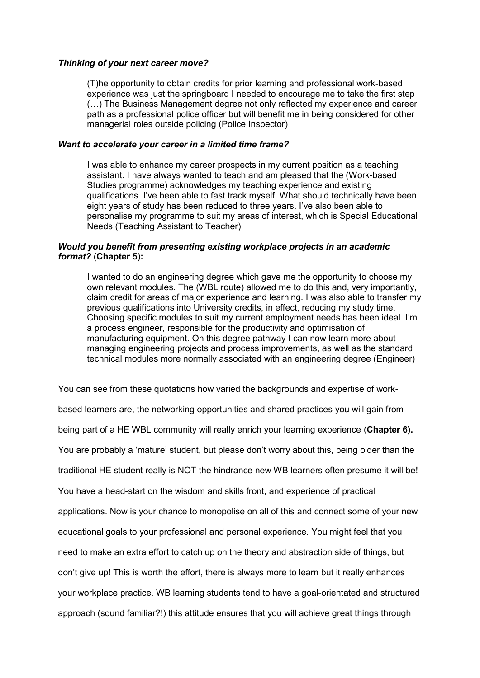### *Thinking of your next career move?*

(T)he opportunity to obtain credits for prior learning and professional work-based experience was just the springboard I needed to encourage me to take the first step (…) The Business Management degree not only reflected my experience and career path as a professional police officer but will benefit me in being considered for other managerial roles outside policing (Police Inspector)

## *Want to accelerate your career in a limited time frame?*

I was able to enhance my career prospects in my current position as a teaching assistant. I have always wanted to teach and am pleased that the (Work-based Studies programme) acknowledges my teaching experience and existing qualifications. I"ve been able to fast track myself. What should technically have been eight years of study has been reduced to three years. I"ve also been able to personalise my programme to suit my areas of interest, which is Special Educational Needs (Teaching Assistant to Teacher)

# *Would you benefit from presenting existing workplace projects in an academic format?* (**Chapter 5**)**:**

I wanted to do an engineering degree which gave me the opportunity to choose my own relevant modules. The (WBL route) allowed me to do this and, very importantly, claim credit for areas of major experience and learning. I was also able to transfer my previous qualifications into University credits, in effect, reducing my study time. Choosing specific modules to suit my current employment needs has been ideal. I"m a process engineer, responsible for the productivity and optimisation of manufacturing equipment. On this degree pathway I can now learn more about managing engineering projects and process improvements, as well as the standard technical modules more normally associated with an engineering degree (Engineer)

You can see from these quotations how varied the backgrounds and expertise of workbased learners are, the networking opportunities and shared practices you will gain from being part of a HE WBL community will really enrich your learning experience (**Chapter 6).** You are probably a "mature" student, but please don"t worry about this, being older than the traditional HE student really is NOT the hindrance new WB learners often presume it will be! You have a head-start on the wisdom and skills front, and experience of practical applications. Now is your chance to monopolise on all of this and connect some of your new educational goals to your professional and personal experience. You might feel that you need to make an extra effort to catch up on the theory and abstraction side of things, but don"t give up! This is worth the effort, there is always more to learn but it really enhances your workplace practice. WB learning students tend to have a goal-orientated and structured approach (sound familiar?!) this attitude ensures that you will achieve great things through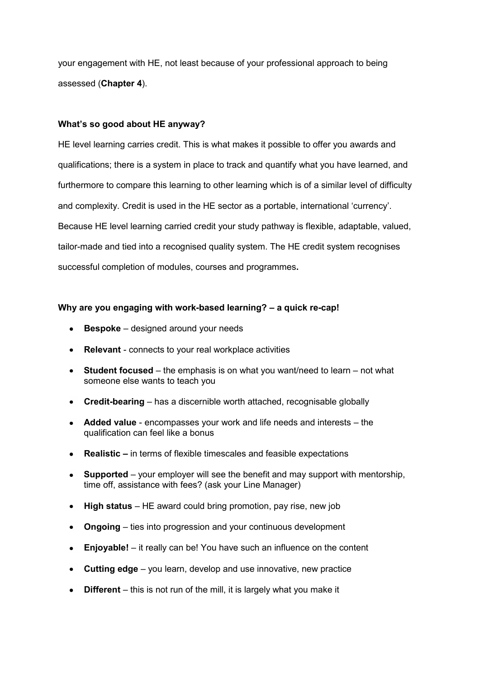your engagement with HE, not least because of your professional approach to being assessed (**Chapter 4**).

# **What's so good about HE anyway?**

HE level learning carries credit. This is what makes it possible to offer you awards and qualifications; there is a system in place to track and quantify what you have learned, and furthermore to compare this learning to other learning which is of a similar level of difficulty and complexity. Credit is used in the HE sector as a portable, international "currency". Because HE level learning carried credit your study pathway is flexible, adaptable, valued, tailor-made and tied into a recognised quality system. The HE credit system recognises successful completion of modules, courses and programmes**.**

# **Why are you engaging with work-based learning? – a quick re-cap!**

- **Bespoke** designed around your needs
- **Relevant**  connects to your real workplace activities
- **Student focused** the emphasis is on what you want/need to learn not what someone else wants to teach you
- **Credit-bearing** has a discernible worth attached, recognisable globally
- **Added value** encompasses your work and life needs and interests the qualification can feel like a bonus
- **•** Realistic in terms of flexible timescales and feasible expectations
- **Supported** your employer will see the benefit and may support with mentorship, time off, assistance with fees? (ask your Line Manager)
- **High status** HE award could bring promotion, pay rise, new job
- **Ongoing**  ties into progression and your continuous development
- **Enjoyable!** it really can be! You have such an influence on the content
- **Cutting edge** you learn, develop and use innovative, new practice
- **Different** this is not run of the mill, it is largely what you make it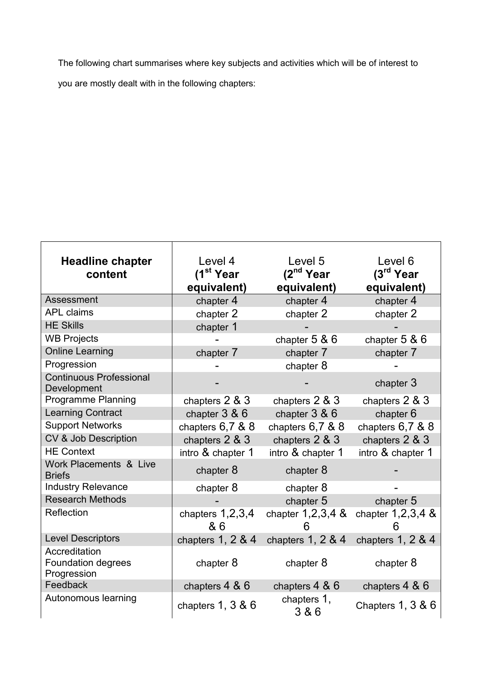The following chart summarises where key subjects and activities which will be of interest to you are mostly dealt with in the following chapters:

| <b>Headline chapter</b>                                   | Level 4                   | Level 5                  | Level 6               |
|-----------------------------------------------------------|---------------------------|--------------------------|-----------------------|
| content                                                   | (1 <sup>st</sup> Year     | (2 <sup>nd</sup> Year)   | (3 <sup>rd</sup> Year |
|                                                           | equivalent)               | equivalent)              | equivalent)           |
| Assessment                                                | chapter 4                 | chapter 4                | chapter 4             |
| <b>APL claims</b>                                         | chapter 2                 | chapter 2                | chapter 2             |
| <b>HE Skills</b>                                          | chapter 1                 |                          |                       |
| <b>WB Projects</b>                                        |                           | chapter $5 & 6$          | chapter $5 & 6$       |
| <b>Online Learning</b>                                    | chapter 7                 | chapter 7                | chapter 7             |
| Progression                                               |                           | chapter 8                |                       |
| <b>Continuous Professional</b><br>Development             |                           |                          | chapter 3             |
| <b>Programme Planning</b>                                 | chapters $2 & 3$          | chapters 2 & 3           | chapters $2 & 3$      |
| <b>Learning Contract</b>                                  | chapter $3 & 6$           | chapter $3 & 6$          | chapter 6             |
| <b>Support Networks</b>                                   | chapters 6,7 & 8          | chapters 6,7 & 8         | chapters 6,7 & 8      |
| CV & Job Description                                      | chapters 2 & 3            | chapters 2 & 3           | chapters 2 & 3        |
| <b>HE Context</b>                                         | intro & chapter 1         | intro & chapter 1        | intro & chapter 1     |
| Work Placements & Live<br><b>Briefs</b>                   | chapter 8                 | chapter 8                |                       |
| <b>Industry Relevance</b>                                 | chapter 8                 | chapter 8                |                       |
| <b>Research Methods</b>                                   |                           | chapter 5                | chapter 5             |
| Reflection                                                | chapters $1,2,3,4$<br>& 6 | chapter $1,2,3,4$ &<br>h | chapter $1,2,3,4$ &   |
| <b>Level Descriptors</b>                                  | chapters $1, 2, 8, 4$     | chapters $1, 2, 8, 4$    | chapters $1, 2, 8, 4$ |
| Accreditation<br><b>Foundation degrees</b><br>Progression | chapter 8                 | chapter 8                | chapter 8             |
| Feedback                                                  | chapters $4 & 6$          | chapters $4 & 6$         | chapters 4 & 6        |
| Autonomous learning                                       | chapters $1, 3 & 6$       | chapters 1,<br>3 & 6     | Chapters $1, 3 & 6$   |